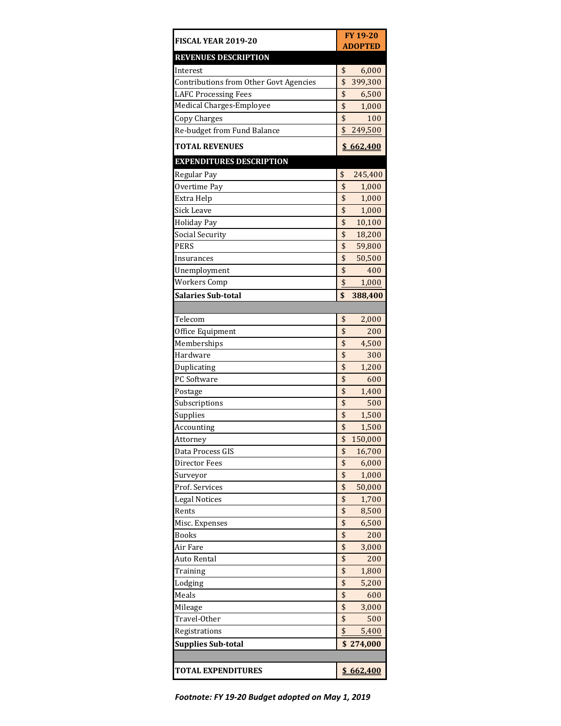| FISCAL YEAR 2019-20                    | FY 19-20<br><b>ADOPTED</b> |
|----------------------------------------|----------------------------|
| <b>REVENUES DESCRIPTION</b>            |                            |
| Interest                               | \$<br>6,000                |
| Contributions from Other Govt Agencies | \$<br>399,300              |
| <b>LAFC Processing Fees</b>            | \$<br>6,500                |
| <b>Medical Charges-Employee</b>        | \$                         |
|                                        | 1,000<br>\$<br>100         |
| Copy Charges                           | \$<br>249,500              |
| Re-budget from Fund Balance            |                            |
| <b>TOTAL REVENUES</b>                  | \$662,400                  |
| <b>EXPENDITURES DESCRIPTION</b>        |                            |
| Regular Pay                            | \$<br>245,400              |
| Overtime Pay                           | \$<br>1,000                |
| Extra Help                             | \$<br>1,000                |
| <b>Sick Leave</b>                      | \$<br>1,000                |
| <b>Holiday Pay</b>                     | \$<br>10,100               |
| Social Security                        | \$<br>18,200               |
| <b>PERS</b>                            | \$<br>59,800               |
| Insurances                             | \$<br>50,500               |
| Unemployment                           | \$<br>400                  |
| <b>Workers Comp</b>                    | \$<br>1,000                |
| <b>Salaries Sub-total</b>              | \$<br>388,400              |
|                                        |                            |
| Telecom                                | \$<br>2,000                |
| Office Equipment                       | \$<br>200                  |
| Memberships                            | \$<br>4,500                |
| Hardware                               | \$<br>300                  |
| Duplicating                            | \$<br>1,200                |
| PC Software                            | \$<br>600                  |
| Postage                                | \$<br>1,400                |
| Subscriptions                          | \$<br>500                  |
| Supplies                               | \$<br>1,500                |
| Accounting                             | \$<br>1,500                |
| Attorney                               | \$<br>150,000              |
| Data Process GIS                       | \$<br>16,700               |
| Director Fees                          | \$<br>6,000                |
| Surveyor                               | \$<br>1,000                |
| Prof. Services                         | \$<br>50,000               |
| <b>Legal Notices</b>                   | \$<br>1,700                |
| Rents                                  | \$<br>8,500                |
| Misc. Expenses                         | \$<br>6,500                |
| <b>Books</b>                           | \$<br>200                  |
| Air Fare                               | \$<br>3,000                |
| Auto Rental                            | \$<br>200                  |
| Training                               | \$<br>1,800                |
| Lodging                                | \$<br>5,200                |
| Meals                                  | \$<br>600                  |
| Mileage                                | \$<br>3,000                |
| Travel-Other                           | \$<br>500                  |
| Registrations                          | \$<br>5,400                |
| <b>Supplies Sub-total</b>              | \$<br>274,000              |
|                                        |                            |
|                                        |                            |
| <b>TOTAL EXPENDITURES</b>              | \$662,400                  |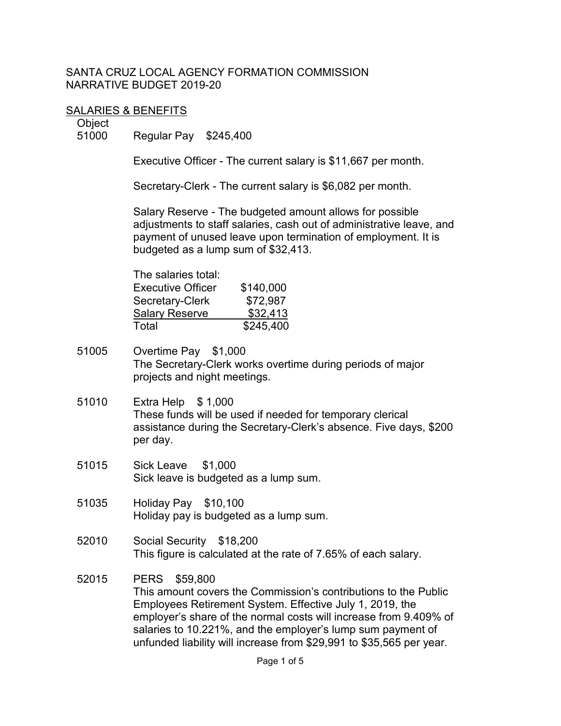#### SANTA CRUZ LOCAL AGENCY FORMATION COMMISSION NARRATIVE BUDGET 2019-20

#### SALARIES & BENEFITS

Object

51000 Regular Pay \$245,400

Executive Officer - The current salary is \$11,667 per month.

Secretary-Clerk - The current salary is \$6,082 per month.

Salary Reserve - The budgeted amount allows for possible adjustments to staff salaries, cash out of administrative leave, and payment of unused leave upon termination of employment. It is budgeted as a lump sum of \$32,413.

| The salaries total:      |           |
|--------------------------|-----------|
| <b>Executive Officer</b> | \$140,000 |
| Secretary-Clerk          | \$72,987  |
| <b>Salary Reserve</b>    | \$32,413  |
| Total                    | \$245,400 |

- 51005 Overtime Pay \$1,000 The Secretary-Clerk works overtime during periods of major projects and night meetings.
- 51010 Extra Help \$ 1,000 These funds will be used if needed for temporary clerical assistance during the Secretary-Clerk's absence. Five days, \$200 per day.
- 51015 Sick Leave \$1,000 Sick leave is budgeted as a lump sum.
- 51035 Holiday Pay \$10,100 Holiday pay is budgeted as a lump sum.
- 52010 Social Security \$18,200 This figure is calculated at the rate of 7.65% of each salary.
- 52015 PERS \$59,800 This amount covers the Commission's contributions to the Public Employees Retirement System. Effective July 1, 2019, the employer's share of the normal costs will increase from 9.409% of salaries to 10.221%, and the employer's lump sum payment of unfunded liability will increase from \$29,991 to \$35,565 per year.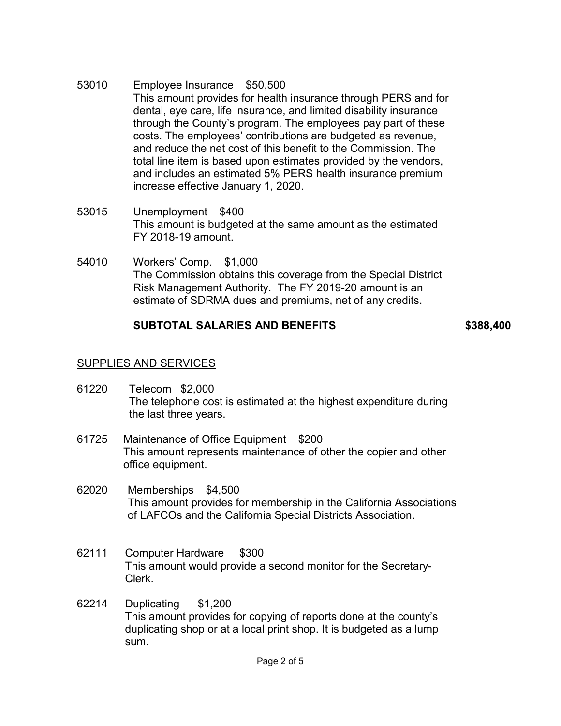- 53010 Employee Insurance \$50,500 This amount provides for health insurance through PERS and for dental, eye care, life insurance, and limited disability insurance through the County's program. The employees pay part of these costs. The employees' contributions are budgeted as revenue, and reduce the net cost of this benefit to the Commission. The total line item is based upon estimates provided by the vendors, and includes an estimated 5% PERS health insurance premium increase effective January 1, 2020.
- 53015 Unemployment \$400 This amount is budgeted at the same amount as the estimated FY 2018-19 amount.
- 54010 Workers' Comp. \$1,000 The Commission obtains this coverage from the Special District Risk Management Authority. The FY 2019-20 amount is an estimate of SDRMA dues and premiums, net of any credits.

## **SUBTOTAL SALARIES AND BENEFITS \$388,400**

## SUPPLIES AND SERVICES

- 61220 Telecom \$2,000 The telephone cost is estimated at the highest expenditure during the last three years.
- 61725 Maintenance of Office Equipment \$200 This amount represents maintenance of other the copier and other office equipment.
- 62020 Memberships \$4,500 This amount provides for membership in the California Associations of LAFCOs and the California Special Districts Association.
- 62111 Computer Hardware \$300 This amount would provide a second monitor for the Secretary-Clerk.
- 62214 Duplicating \$1,200 This amount provides for copying of reports done at the county's duplicating shop or at a local print shop. It is budgeted as a lump sum.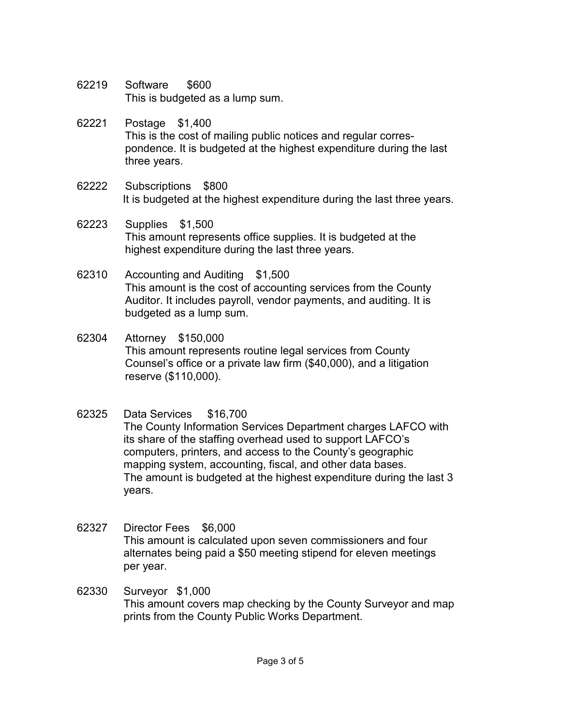- 62219 Software \$600 This is budgeted as a lump sum.
- 62221 Postage \$1,400 This is the cost of mailing public notices and regular correspondence. It is budgeted at the highest expenditure during the last three years.
- 62222 Subscriptions \$800 It is budgeted at the highest expenditure during the last three years.
- 62223 Supplies \$1,500 This amount represents office supplies. It is budgeted at the highest expenditure during the last three years.
- 62310 Accounting and Auditing \$1,500 This amount is the cost of accounting services from the County Auditor. It includes payroll, vendor payments, and auditing. It is budgeted as a lump sum.
- 62304 Attorney \$150,000 This amount represents routine legal services from County Counsel's office or a private law firm (\$40,000), and a litigation reserve (\$110,000).
- 62325 Data Services \$16,700

The County Information Services Department charges LAFCO with its share of the staffing overhead used to support LAFCO's computers, printers, and access to the County's geographic mapping system, accounting, fiscal, and other data bases. The amount is budgeted at the highest expenditure during the last 3 years.

- 62327 Director Fees \$6,000 This amount is calculated upon seven commissioners and four alternates being paid a \$50 meeting stipend for eleven meetings per year.
- 62330 Surveyor \$1,000 This amount covers map checking by the County Surveyor and map prints from the County Public Works Department.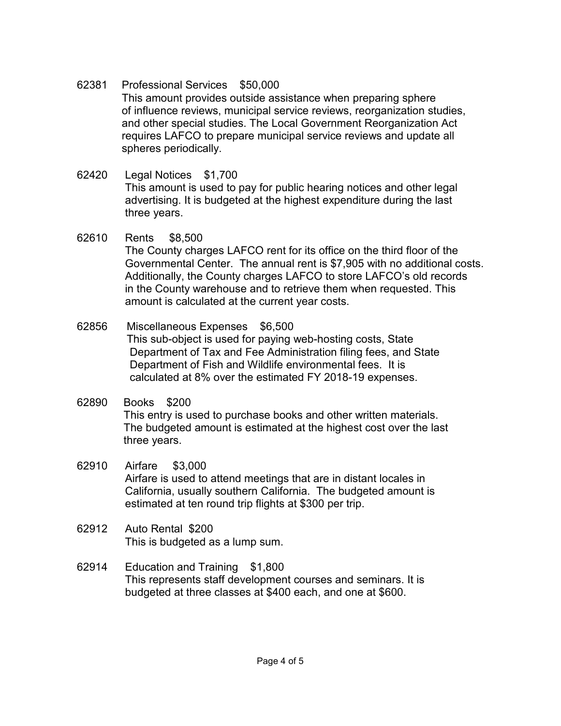62381 Professional Services \$50,000

This amount provides outside assistance when preparing sphere of influence reviews, municipal service reviews, reorganization studies, and other special studies. The Local Government Reorganization Act requires LAFCO to prepare municipal service reviews and update all spheres periodically.

- 62420 Legal Notices \$1,700 This amount is used to pay for public hearing notices and other legal advertising. It is budgeted at the highest expenditure during the last three years.
- 62610 Rents \$8,500 The County charges LAFCO rent for its office on the third floor of the Governmental Center. The annual rent is \$7,905 with no additional costs. Additionally, the County charges LAFCO to store LAFCO's old records in the County warehouse and to retrieve them when requested. This amount is calculated at the current year costs.
- 62856 Miscellaneous Expenses \$6,500 This sub-object is used for paying web-hosting costs, State Department of Tax and Fee Administration filing fees, and State Department of Fish and Wildlife environmental fees. It is calculated at 8% over the estimated FY 2018-19 expenses.
- 62890 Books \$200 This entry is used to purchase books and other written materials. The budgeted amount is estimated at the highest cost over the last three years.
- 62910 Airfare \$3,000 Airfare is used to attend meetings that are in distant locales in California, usually southern California. The budgeted amount is estimated at ten round trip flights at \$300 per trip.
- 62912 Auto Rental \$200 This is budgeted as a lump sum.
- 62914 Education and Training \$1,800 This represents staff development courses and seminars. It is budgeted at three classes at \$400 each, and one at \$600.